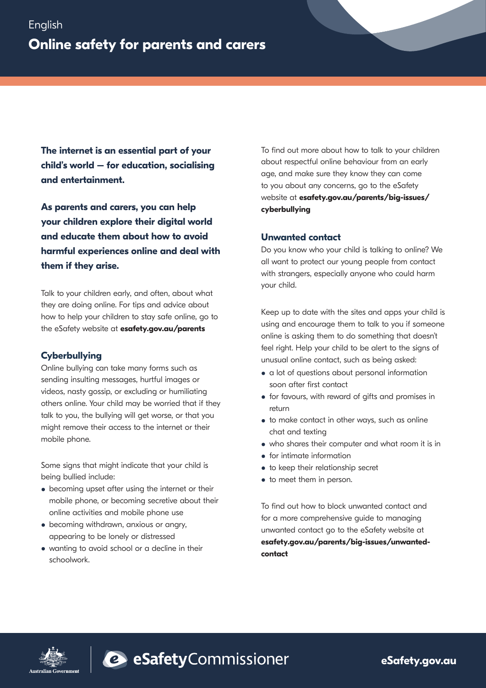**The internet is an essential part of your child's world – for education, socialising and entertainment.**

**As parents and carers, you can help your children explore their digital world and educate them about how to avoid harmful experiences online and deal with them if they arise.** 

Talk to your children early, and often, about what they are doing online. For tips and advice about how to help your children to stay safe online, go to the eSafety website at **esafety.gov.au/parents** 

# **Cyberbullying**

Online bullying can take many forms such as sending insulting messages, hurtful images or videos, nasty gossip, or excluding or humiliating others online. Your child may be worried that if they talk to you, the bullying will get worse, or that you might remove their access to the internet or their mobile phone.

Some signs that might indicate that your child is being bullied include:

- becoming upset after using the internet or their mobile phone, or becoming secretive about their online activities and mobile phone use
- becoming withdrawn, anxious or angry, appearing to be lonely or distressed
- wanting to avoid school or a decline in their schoolwork.

To find out more about how to talk to your children about respectful online behaviour from an early age, and make sure they know they can come to you about any concerns, go to the eSafety website at **esafety.gov.au/parents/big-issues/ cyberbullying**

## **Unwanted contact**

Do you know who your child is talking to online? We all want to protect our young people from contact with strangers, especially anyone who could harm your child.

Keep up to date with the sites and apps your child is using and encourage them to talk to you if someone online is asking them to do something that doesn't feel right. Help your child to be alert to the signs of unusual online contact, such as being asked:

- a lot of questions about personal information soon after first contact
- for favours, with reward of gifts and promises in return
- to make contact in other ways, such as online chat and texting
- who shares their computer and what room it is in
- for intimate information
- to keep their relationship secret
- to meet them in person.

To find out how to block unwanted contact and for a more comprehensive guide to managing unwanted contact go to the eSafety website at **esafety.gov.au/parents/big-issues/unwantedcontact**





e safetyCommissioner

**eSafety.gov.au**